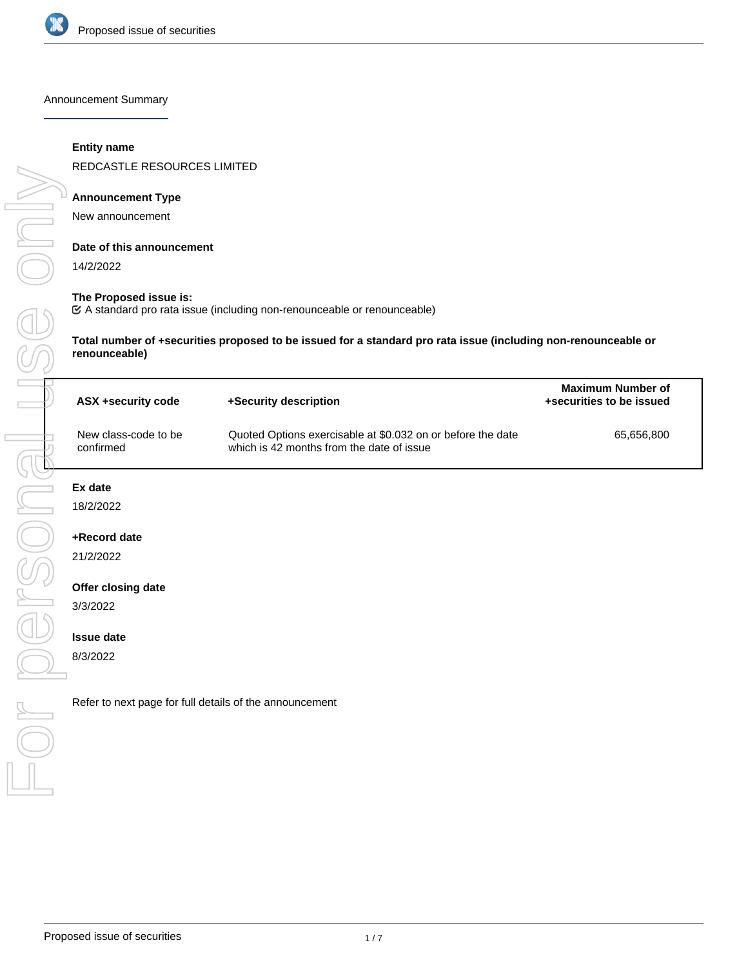

Announcement Summary

#### **Entity name**

REDCASTLE RESOURCES LIMITED

#### **Announcement Type**

New announcement

#### **Date of this announcement**

14/2/2022

USS ONN

personal

 $\bigcirc$ 

#### **The Proposed issue is:**

A standard pro rata issue (including non-renounceable or renounceable)

**Total number of +securities proposed to be issued for a standard pro rata issue (including non-renounceable or renounceable)**

| ASX +security code                | +Security description                                                                                    | Maximum Number of<br>+securities to be issued |  |
|-----------------------------------|----------------------------------------------------------------------------------------------------------|-----------------------------------------------|--|
| New class-code to be<br>confirmed | Quoted Options exercisable at \$0.032 on or before the date<br>which is 42 months from the date of issue | 65.656.800                                    |  |

#### **Ex date**

18/2/2022

#### **+Record date**

21/2/2022

#### **Offer closing date**

3/3/2022

#### **Issue date**

8/3/2022

Refer to next page for full details of the announcement For personal use only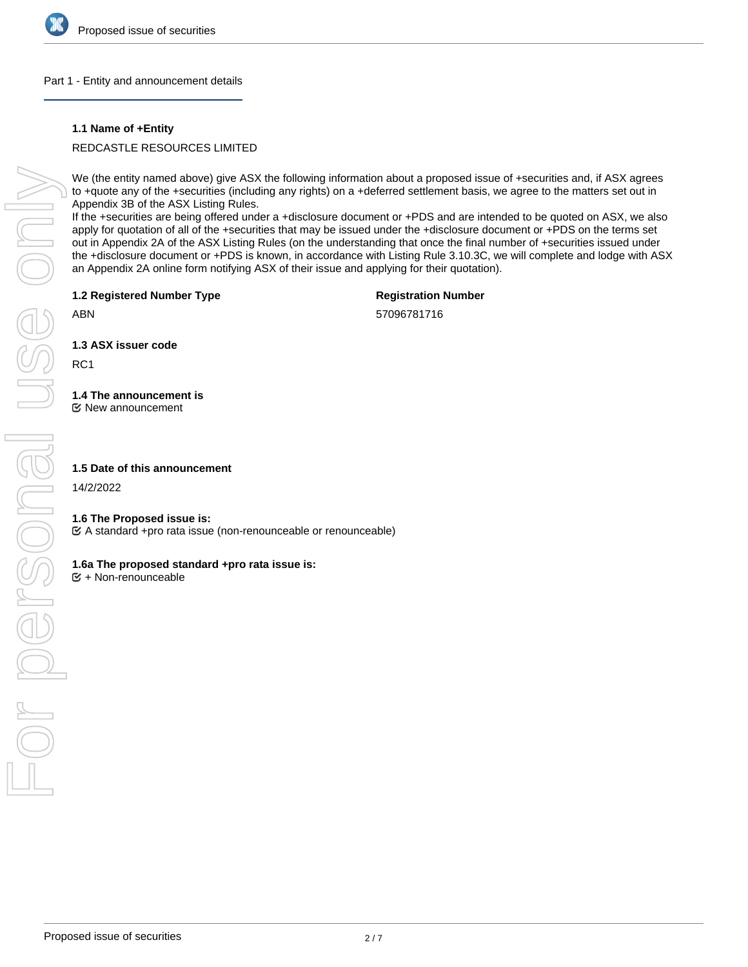

#### Part 1 - Entity and announcement details

#### **1.1 Name of +Entity**

REDCASTLE RESOURCES LIMITED

We (the entity named above) give ASX the following information about a proposed issue of +securities and, if ASX agrees to +quote any of the +securities (including any rights) on a +deferred settlement basis, we agree to the matters set out in Appendix 3B of the ASX Listing Rules.

If the +securities are being offered under a +disclosure document or +PDS and are intended to be quoted on ASX, we also apply for quotation of all of the +securities that may be issued under the +disclosure document or +PDS on the terms set out in Appendix 2A of the ASX Listing Rules (on the understanding that once the final number of +securities issued under the +disclosure document or +PDS is known, in accordance with Listing Rule 3.10.3C, we will complete and lodge with ASX an Appendix 2A online form notifying ASX of their issue and applying for their quotation).

**1.2 Registered Number Type**

**Registration Number**

57096781716

ABN

**1.3 ASX issuer code**

RC1

## **1.4 The announcement is**

New announcement

#### **1.5 Date of this announcement**

14/2/2022

#### **1.6 The Proposed issue is:**

A standard +pro rata issue (non-renounceable or renounceable)

#### **1.6a The proposed standard +pro rata issue is:**

+ Non-renounceable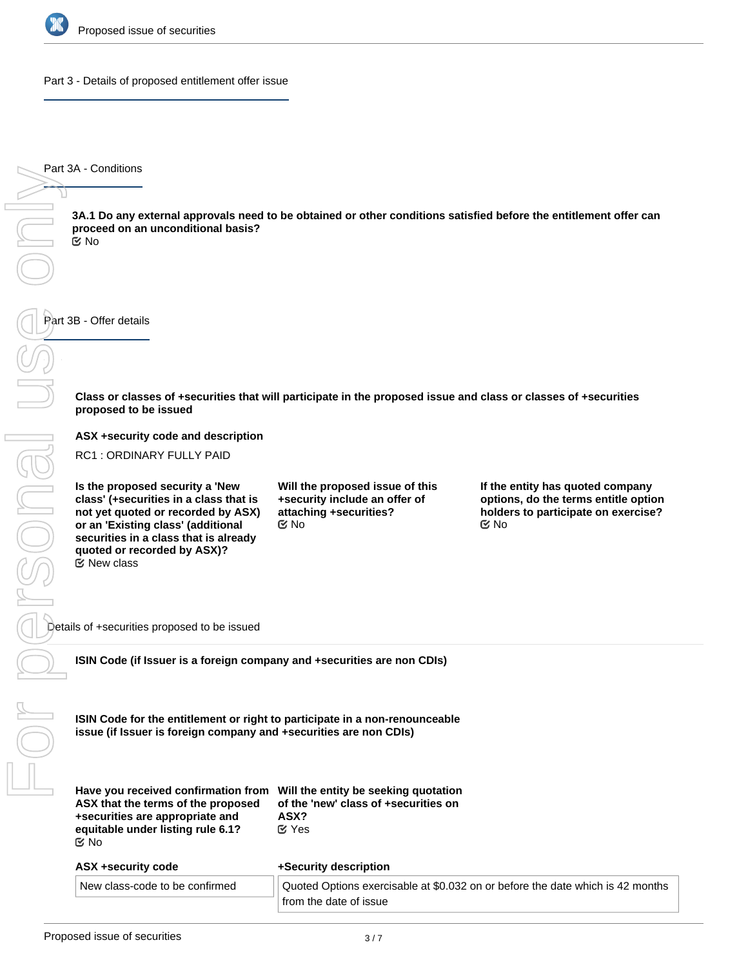

Part 3 - Details of proposed entitlement offer issue

Part 3A - Conditions

**3A.1 Do any external approvals need to be obtained or other conditions satisfied before the entitlement offer can proceed on an unconditional basis?** No

Part 3B - Offer details

**Class or classes of +securities that will participate in the proposed issue and class or classes of +securities proposed to be issued**

**ASX +security code and description**

RC1 : ORDINARY FULLY PAID

**Is the proposed security a 'New class' (+securities in a class that is not yet quoted or recorded by ASX) or an 'Existing class' (additional securities in a class that is already quoted or recorded by ASX)?** New class

**Will the proposed issue of this +security include an offer of attaching +securities?**  $\mathfrak{A}$  No  $\mathfrak{A}$  No  $\mathfrak{A}$  No  $\mathfrak{A}$ 

**If the entity has quoted company options, do the terms entitle option holders to participate on exercise?**

Details of +securities proposed to be issued

**ISIN Code (if Issuer is a foreign company and +securities are non CDIs)**

**ISIN Code for the entitlement or right to participate in a non-renounceable issue (if Issuer is foreign company and +securities are non CDIs)**

| Have you received confirmation from |
|-------------------------------------|
| ASX that the terms of the proposed  |
| +securities are appropriate and     |
| equitable under listing rule 6.1?   |
| $\propto$ No                        |

**Will the entity be seeking quotation of the 'new' class of +securities on ASX?** Yes

| ASX +security code             | +Security description                                                          |  |
|--------------------------------|--------------------------------------------------------------------------------|--|
| New class-code to be confirmed | Quoted Options exercisable at \$0.032 on or before the date which is 42 months |  |
|                                | from the date of issue                                                         |  |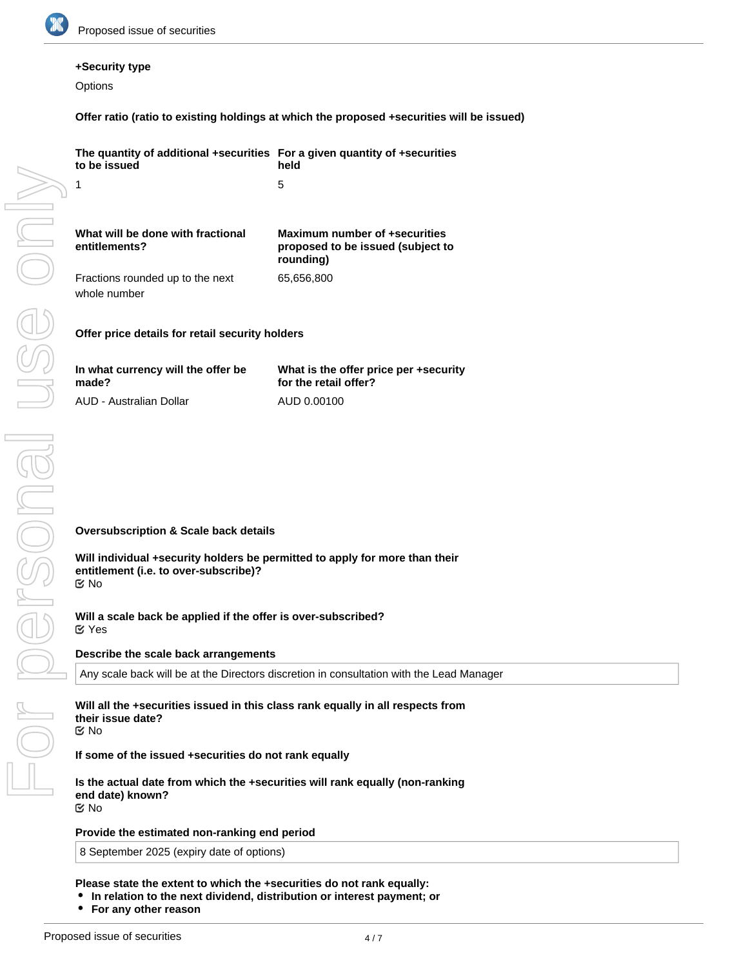

#### **+Security type**

**Options** 

**Offer ratio (ratio to existing holdings at which the proposed +securities will be issued)**

| The quantity of additional +securities For a given quantity of +securities<br>to be issued                                                | held                                                                                     |
|-------------------------------------------------------------------------------------------------------------------------------------------|------------------------------------------------------------------------------------------|
| 1                                                                                                                                         | 5                                                                                        |
| What will be done with fractional<br>entitlements?                                                                                        | Maximum number of +securities<br>proposed to be issued (subject to<br>rounding)          |
| Fractions rounded up to the next<br>whole number                                                                                          | 65,656,800                                                                               |
| Offer price details for retail security holders                                                                                           |                                                                                          |
| In what currency will the offer be<br>made?                                                                                               | What is the offer price per +security<br>for the retail offer?                           |
| AUD - Australian Dollar                                                                                                                   | AUD 0.00100                                                                              |
| <b>Oversubscription &amp; Scale back details</b>                                                                                          |                                                                                          |
|                                                                                                                                           |                                                                                          |
| Will individual +security holders be permitted to apply for more than their<br>entitlement (i.e. to over-subscribe)?<br>$\mathfrak{C}$ No |                                                                                          |
| Will a scale back be applied if the offer is over-subscribed?<br>$\alpha$ Yes                                                             |                                                                                          |
| Describe the scale back arrangements                                                                                                      |                                                                                          |
|                                                                                                                                           | Any scale back will be at the Directors discretion in consultation with the Lead Manager |
| Will all the +securities issued in this class rank equally in all respects from<br>their issue date?<br>Mo No                             |                                                                                          |
| If some of the issued +securities do not rank equally                                                                                     |                                                                                          |
| Is the actual date from which the +securities will rank equally (non-ranking<br>end date) known?<br>Mo No                                 |                                                                                          |

**Provide the estimated non-ranking end period**

8 September 2025 (expiry date of options)

**Please state the extent to which the +securities do not rank equally:**

- **In relation to the next dividend, distribution or interest payment; or**
- **For any other reason**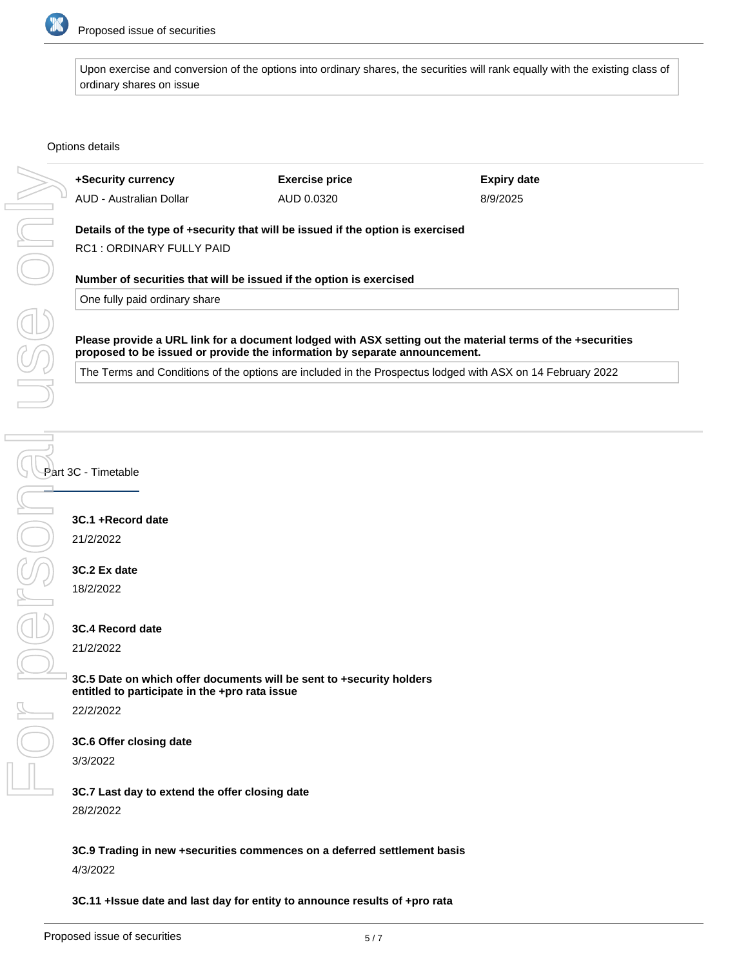

Upon exercise and conversion of the options into ordinary shares, the securities will rank equally with the existing class of ordinary shares on issue

#### Options details

|                                                                                                      | +Security currency                                                                                         | <b>Exercise price</b>                                                           | <b>Expiry date</b>                                                                                         |  |  |
|------------------------------------------------------------------------------------------------------|------------------------------------------------------------------------------------------------------------|---------------------------------------------------------------------------------|------------------------------------------------------------------------------------------------------------|--|--|
|                                                                                                      | AUD - Australian Dollar                                                                                    | AUD 0.0320                                                                      | 8/9/2025                                                                                                   |  |  |
|                                                                                                      |                                                                                                            | Details of the type of +security that will be issued if the option is exercised |                                                                                                            |  |  |
|                                                                                                      | RC1: ORDINARY FULLY PAID                                                                                   |                                                                                 |                                                                                                            |  |  |
|                                                                                                      |                                                                                                            |                                                                                 |                                                                                                            |  |  |
| Number of securities that will be issued if the option is exercised<br>One fully paid ordinary share |                                                                                                            |                                                                                 |                                                                                                            |  |  |
|                                                                                                      | Please provide a URL link for a document lodged with ASX setting out the material terms of the +securities |                                                                                 |                                                                                                            |  |  |
| proposed to be issued or provide the information by separate announcement.                           |                                                                                                            |                                                                                 |                                                                                                            |  |  |
|                                                                                                      |                                                                                                            |                                                                                 | The Terms and Conditions of the options are included in the Prospectus lodged with ASX on 14 February 2022 |  |  |
|                                                                                                      |                                                                                                            |                                                                                 |                                                                                                            |  |  |
|                                                                                                      |                                                                                                            |                                                                                 |                                                                                                            |  |  |
|                                                                                                      | 3C.1 +Record date<br>21/2/2022<br>3C.2 Ex date<br>18/2/2022                                                |                                                                                 |                                                                                                            |  |  |
|                                                                                                      | 3C.4 Record date                                                                                           |                                                                                 |                                                                                                            |  |  |
|                                                                                                      | 21/2/2022                                                                                                  |                                                                                 |                                                                                                            |  |  |
|                                                                                                      |                                                                                                            |                                                                                 |                                                                                                            |  |  |
|                                                                                                      |                                                                                                            | 3C.5 Date on which offer documents will be sent to +security holders            |                                                                                                            |  |  |
|                                                                                                      | entitled to participate in the +pro rata issue                                                             |                                                                                 |                                                                                                            |  |  |
|                                                                                                      | 22/2/2022                                                                                                  |                                                                                 |                                                                                                            |  |  |
|                                                                                                      | 3C.6 Offer closing date                                                                                    |                                                                                 |                                                                                                            |  |  |
|                                                                                                      | 3/3/2022                                                                                                   |                                                                                 |                                                                                                            |  |  |
|                                                                                                      | 3C 7 Last day to extend the offer closing date                                                             |                                                                                 |                                                                                                            |  |  |

# **3C.1 +Record date**

# **3C.2 Ex date**

### **3C.4 Record date**

#### **3C.6 Offer closing date**

**3C.7 Last day to extend the offer closing date** 28/2/2022

**3C.9 Trading in new +securities commences on a deferred settlement basis** 4/3/2022

**3C.11 +Issue date and last day for entity to announce results of +pro rata**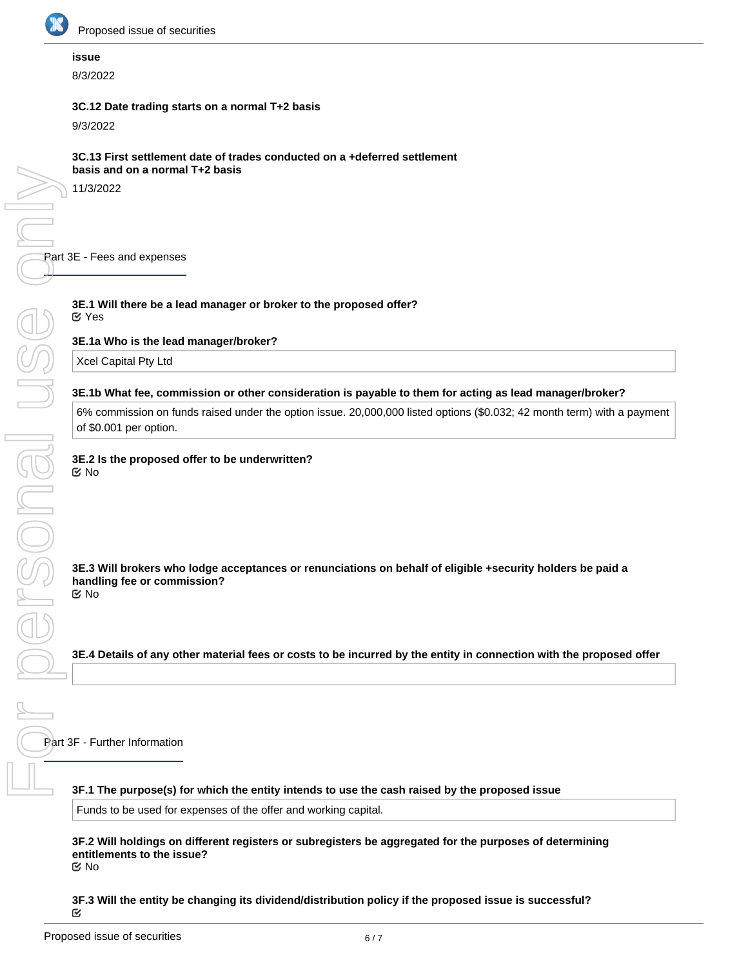

**NSONGIL** 

#### **issue**

8/3/2022

#### **3C.12 Date trading starts on a normal T+2 basis**

9/3/2022

11/3/2022

Part 3E - Fees and expenses For personal use QnM

#### **3E.1 Will there be a lead manager or broker to the proposed offer?** Yes

**3E.1a Who is the lead manager/broker?**

Xcel Capital Pty Ltd

#### **3E.1b What fee, commission or other consideration is payable to them for acting as lead manager/broker?**

6% commission on funds raised under the option issue. 20,000,000 listed options (\$0.032; 42 month term) with a payment of \$0.001 per option.

#### **3E.2 Is the proposed offer to be underwritten?** No

**3E.3 Will brokers who lodge acceptances or renunciations on behalf of eligible +security holders be paid a handling fee or commission?** No

**3E.4 Details of any other material fees or costs to be incurred by the entity in connection with the proposed offer**

Part 3F - Further Information

**3F.1 The purpose(s) for which the entity intends to use the cash raised by the proposed issue**

Funds to be used for expenses of the offer and working capital.

**3F.2 Will holdings on different registers or subregisters be aggregated for the purposes of determining entitlements to the issue?** No

**3F.3 Will the entity be changing its dividend/distribution policy if the proposed issue is successful?**